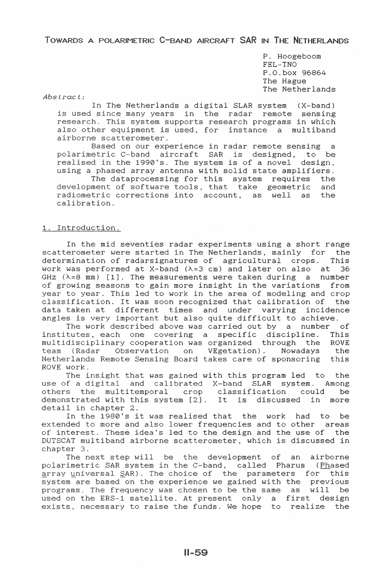TOWARDS A POLARIMETRIC C-BAND AIRCRAFT SAR IN THE NETHERLANDS

P. Hoogeboom FEL-TNO P.O.box 96864 The Hague The Netherlands

Abstract:

In The Netherlands a digital SLAR system (X-band) is used since many years in the radar remote sensing research. This system supports research programs in which also other equipment is used, for instance a multiband airborne scatterometer.

Based on our experience in radar remote sensing a polarimetric C-band aircraft SAR is designed, to be realised in the 1990's. The system is of a novel design, using a phased array antenna with solid state amplifiers. The dataprocessing for this system requires the devel of software tools, that take geometric and radiometric corrections into account, as well as the calibration.

#### 1. Introduction.

In the mid seventies radar experiments using a short range scatterometer were started in The Netherlands, mainly for the determination of radarsignatures of agricultural crops. This determination of radarsignatures of agricultural crops. This work was performed at X-band  $(\lambda = 3 \text{ cm})$  and later on also at 36 work was performed at X-band  $(\lambda=3 \text{ cm})$  and later on also at GHz  $(\lambda=8$  mm) [1]. The measurements were taken during a number of growing seasons to gain more insight in the variations from year to year. This led to work in the area of modeling and crop classification. It was soon recognized that calibration of the data taken at different times and under varying incidence angles is very important but also quite difficult to achieve.

The work described above was carried out by a number of institutes, each one covering a specific discipline. This multidisciplinary cooperation was organized through the ROVE<br>team (Radar Observation on VEgetation). Nowadays the team (Radar Observation on VEgetation). Nowadays the<br>Netherlands Remote Sensing Board takes care of sponsoring this Netherlands Remote Sensing Board takes care of sponsoring ROVE work.

work:<br>The insight that was gained with this program led to the use of a digital and calibrated X-band SLAR system. Among others the multitemporal crop classification could be demonstrated with this system [2]. It is discussed in more detail in chapter 2.

In the 1980's it was realised that the work had to be extended to more and also lower frequencies and to other areas of interest. These idea's led to the design and the use of the DUTSCAT multiband airborne scatterometer, which is discussed in chapter 3.

The next step will be the development of an airborne polarimetric SAR system in the C-band, called Pharus {Phased array universal SAR). The choice of the parameters for this system are based on the experience we gained with the previous programs. The frequency was chosen to be the same as will be programs. The frequency was chosen to be the same as wifit be<br>used on the ERS-1 satellite. At present only a first design exists, necessary to raise the funds. We hope to realize the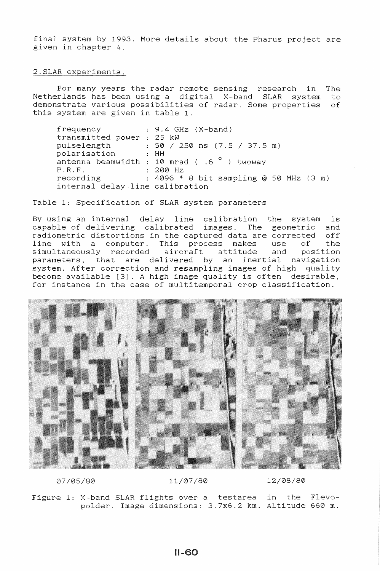final system by 1993. More details about the Pharus project are given in chapter 4.

# 2. SLAR experiments.

For many years the radar remote sensing research in The Netherlands has been using a digital X-band SLAR system to demonstrate various possibilities of radar. Some properties of this system are given in table 1.

frequency : 9.4 GHz (X-band) transmitted power : 25 kW pulselength  $\qquad : 50 / 250$  ns  $(7.5 / 37.5 \text{ m})$ <br>polarisation  $: HH$ polarisation antenna beamwidth : 10 mrad (  $.6$   $^{\circ}$  ) twoway<br>P.R.F.  $\qquad \qquad : 200 \text{ Hz}$ P.R.F. : 200 Hz<br>recording : 4096 \*  $: 4096 * 8$  bit sampling @ 50 MHz (3 m) internal delay line calibration

Table 1: Specification of SLAR system parameters

By using an internal delay line calibration the system is capable of delivering calibrated images. The geometric and radiometric distortions in the captured data are corrected off line with a computer. This process makes use of the<br>simultaneously recorded aircraft attitude and position simultaneously recorded aircraft attitude and position parameters, that are delivered by an inertial navigation system. After correction and resampling images of high quality become available [3]. *A* high image quality is often desirable, for instance in the case of multitemporal crop classification.



07/05/80 11/07/80 12/08/80

Figure 1: X-band SLAR flights over a testarea in the Flevopolder. Image dimensions: 3.7x6.2 km. Altitude 660 m.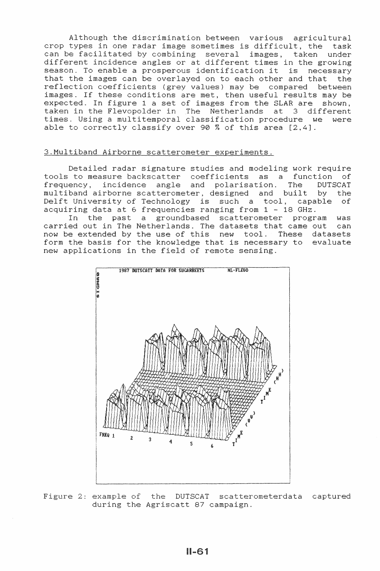Although the discrimination between various agricultural crop types in one radar image sometimes is difficult, the task can be facilitated by combining several images, taken under different incidence angles or at different times in the growing season. To enable a prosperous identification it is necessary that the images can be overlayed on to each other and that the reflection coefficients (grey values) may be compared between images. If these conditions are met, then useful results may be expected. In figure 1 a set of images from the SLAR are shown, taken in the Flevopolder in The Netherlands at 3 different times. Using a multitemporal classification procedure we were able to correctly classify over 90% of this area [2,4].

### 3. Multiband Airborne scatterometer experiments.

Detailed radar signature studies and modeling work require tools to measure backscatter coefficients as a function of<br>frequency, incidence angle and polarisation. The DUTSCAT frequency, incidence angle and polarisation. The multiband airborne scatterometer, designed and built by the Delft University of Technology is such a tool, capable of acquiring data at 6 frequencies ranging from 1 - 18 GHz.

In the past a groundbased scatterometer program was carried out in The Netherlands. The datasets that came out can now be extended by the use of this new tool. These datasets form the basis for the knowledge that is necessary to evaluate new applications in the field of remote sensing.



Figure 2: example of the DUTSCAT scatterometerdata captured during the Agriscatt 87 campaign.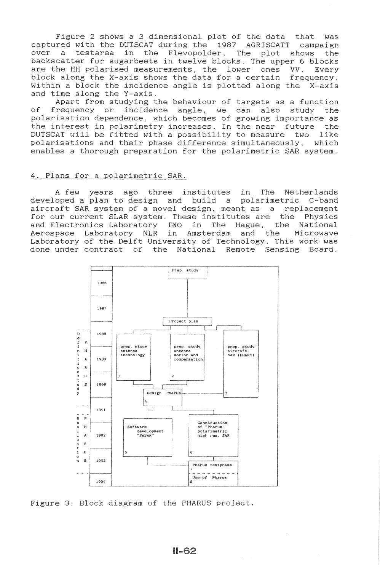Figure 2 shows a 3 dimensional plot of the data that was captured with the DUTSCAT during the 1987 AGRISCATT captured with the DUTSCAT during the 1987 AGRISCATT campaign<br>over a testarea in the Flevopolder. The plot shows the backscatter for sugarbeets in twelve blocks. The upper 6 blocks<br>are the HH polarised measurements, the lower ones VV. Every are the HH polarised measurements, the lower ones VV. Every<br>block along the X-axis shows the data for a certain frequency. Every block along the X-axis shows the data for a certain Within a block the incidence angle is plotted along the X-axis and time along the Y-axis.

Apart from studying the behaviour of targets as a function of frequency or incidence angle, we can also study the arisation dependence, which becomes of growing importance as point is acponsing, which becomes of growing importance as<br>the interest in polarimetry increases. In the near future the DUTSCAT will be fitted with a possibility to measure two like DUTSCAT will be fitted with a possibility to measure two like polarisations and their phase difference simultaneously, which enables a thorough preparation for the polarimetric SAR system.

## 4. Plans for a polarimetric SAR.

A few years ago three institutes in The Netherlands A few years ago three institutes in The Netherlands<br>developed a plan to design and build a polarimetric C-band<br>aircraft SAR system of a novel design, meant as a replacement aircraft SAR system of a novel design, meant as a for our current SLAR system. These institutes are<br>and Electronics Laboratory TNO in The Hague, These institutes are the Physics<br>TNO in The Hague, the National<br>in Amsterdam and the Microwave Aerospace Laboratory NLR Laboratory of the Delft University of Technology. This work was done under contract the National Remote Sensing Board.



3: Block diagram of the PHARUS project.

 $II-62$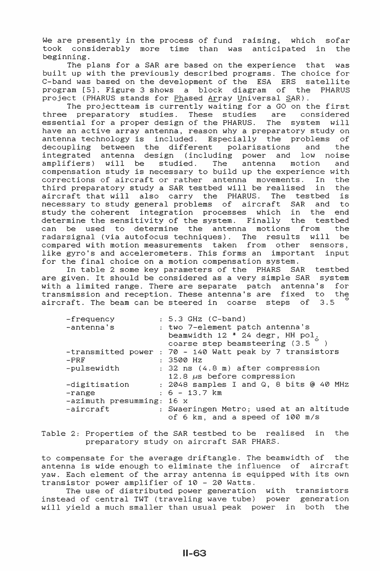We are presently in the process of fund raising, which sofar took considerably more time than was anticipated in the beginning.

The plans for a SAR are based on the experience that was built up with the previously described programs. The choice for C-band was based on the development of the ESA ERS satellite program [5]. Figure 3 shows a block diagram of the project (PHARUS stands for Phased Array Universal SAR).

The projectteam is currently waiting for a GO on the first three preparatory studies. These studies are considered essential for a proper design of the PHARUS. The system will have an active array antenna, reason why a preparatory study on antenna technology is included. Especially the problems of between the different polarisations and the<br>antenna design (including power and low noise integrated antenna design (including power and amplifiers) will be studied. The antenna motion and compensation study is necessary to build up the experience with<br>corrections of aircraft or rather antenna movements. In the corrections of aircraft or rather antenna movements. In the third preparatory study a SAR testbed will be realised in the third preparatory study a SAR testbed will be realised in the aircraft that will also carry the PHARUS. The testbed is aircraft that will also carry the PHARUS. The testbed is<br>necessary to study general problems of aircraft SAR and to necessary to study general problems of aircraft SAR and to<br>study the coherent integration processes which in the end study the coherent integration processes which in the determine the sensitivity of the system. Finally the testbed can be used to determine the antenna motions from the radarsignal (via autofocus techniques). The results will be compared with motion measurements taken from other sensors,<br>like gyro's and accelerometers. This forms an important input like gyro's and accelerometers. This forms an important for the final choice on a motion compensation system.

In table 2 some key parameters of the PHARS SAR testbed are given. It should be considered as a very simple SAR system with a limited range. There are separate patch antenna's for transmission and reception. These antenna's are fixed to the aircraft. The beam can be steered in coarse steps of 3.5 °

| -frequency                  | $: 5.3$ GHz $(C-band)$                                   |
|-----------------------------|----------------------------------------------------------|
| -antenna's                  | : two 7-element patch antenna's                          |
|                             | beamwidth 12 * 24 degr, HH pol.                          |
|                             | coarse step beamsteering $(3.5^\circ)$                   |
|                             | -transmitted power : 70 - 140 Watt peak by 7 transistors |
| $-PRF$                      | $: 3500$ Hz                                              |
| -pulsewidth                 | : 32 ns (4.8 m) after compression                        |
|                             | 12.8 $\mu$ s before compression                          |
| -digitisation               | : 2048 samples I and Q, 8 bits @ 40 MHz                  |
| $-range$                    | $: 6 - 13.7$ km                                          |
| $-zzimuth$ presumming: 16 x |                                                          |
| -aircraft                   | : Swaeringen Metro; used at an altitude                  |
|                             | of 6 km, and a speed of 100 m/s                          |

Table 2: Properties of the SAR testbed to be realised in the preparatory study on aircraft SAR PHARS.

to compensate for the average driftangle. The beamwidth of the antenna is wide enough to eliminate the influence of aircraft yaw. Each element of the array antenna is equipped with its own transistor power amplifier of 10 - 20 Watts.

The use of distributed power generation with transistors instead of central TWT (traveling wave tube) power generation will yield a much smaller than usual peak power in both the